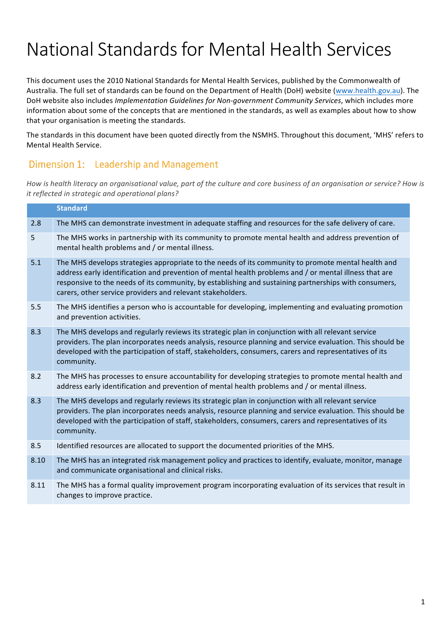# National Standards for Mental Health Services

This document uses the 2010 National Standards for Mental Health Services, published by the Commonwealth of Australia. The full set of standards can be found on the Department of Health (DoH) website (www.health.gov.au). The DoH website also includes *Implementation Guidelines for Non-government Community Services*, which includes more information about some of the concepts that are mentioned in the standards, as well as examples about how to show that your organisation is meeting the standards.

The standards in this document have been quoted directly from the NSMHS. Throughout this document, 'MHS' refers to Mental Health Service.

#### Dimension 1: Leadership and Management

How is health literacy an organisational value, part of the culture and core business of an organisation or service? How is *it reflected in strategic and operational plans?* 

|      | <b>Standard</b>                                                                                                                                                                                                                                                                                                                                                                     |
|------|-------------------------------------------------------------------------------------------------------------------------------------------------------------------------------------------------------------------------------------------------------------------------------------------------------------------------------------------------------------------------------------|
| 2.8  | The MHS can demonstrate investment in adequate staffing and resources for the safe delivery of care.                                                                                                                                                                                                                                                                                |
| 5    | The MHS works in partnership with its community to promote mental health and address prevention of<br>mental health problems and / or mental illness.                                                                                                                                                                                                                               |
| 5.1  | The MHS develops strategies appropriate to the needs of its community to promote mental health and<br>address early identification and prevention of mental health problems and / or mental illness that are<br>responsive to the needs of its community, by establishing and sustaining partnerships with consumers,<br>carers, other service providers and relevant stakeholders. |
| 5.5  | The MHS identifies a person who is accountable for developing, implementing and evaluating promotion<br>and prevention activities.                                                                                                                                                                                                                                                  |
| 8.3  | The MHS develops and regularly reviews its strategic plan in conjunction with all relevant service<br>providers. The plan incorporates needs analysis, resource planning and service evaluation. This should be<br>developed with the participation of staff, stakeholders, consumers, carers and representatives of its<br>community.                                              |
| 8.2  | The MHS has processes to ensure accountability for developing strategies to promote mental health and<br>address early identification and prevention of mental health problems and / or mental illness.                                                                                                                                                                             |
| 8.3  | The MHS develops and regularly reviews its strategic plan in conjunction with all relevant service<br>providers. The plan incorporates needs analysis, resource planning and service evaluation. This should be<br>developed with the participation of staff, stakeholders, consumers, carers and representatives of its<br>community.                                              |
| 8.5  | Identified resources are allocated to support the documented priorities of the MHS.                                                                                                                                                                                                                                                                                                 |
| 8.10 | The MHS has an integrated risk management policy and practices to identify, evaluate, monitor, manage<br>and communicate organisational and clinical risks.                                                                                                                                                                                                                         |
| 8.11 | The MHS has a formal quality improvement program incorporating evaluation of its services that result in<br>changes to improve practice.                                                                                                                                                                                                                                            |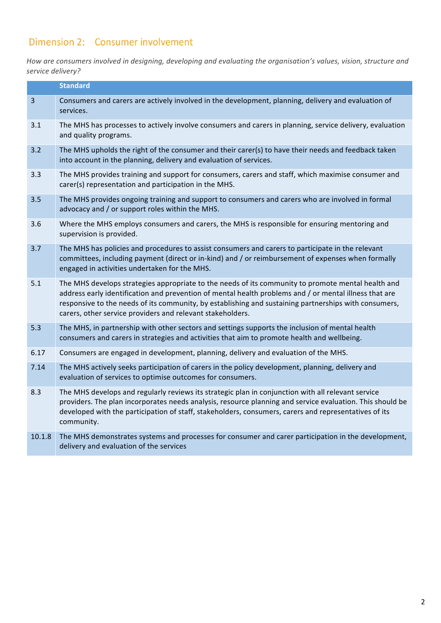## Dimension 2: Consumer involvement

How are consumers involved in designing, developing and evaluating the organisation's values, vision, structure and *service delivery?*

|                | <b>Standard</b>                                                                                                                                                                                                                                                                                                                                                                     |
|----------------|-------------------------------------------------------------------------------------------------------------------------------------------------------------------------------------------------------------------------------------------------------------------------------------------------------------------------------------------------------------------------------------|
| $\overline{3}$ | Consumers and carers are actively involved in the development, planning, delivery and evaluation of<br>services.                                                                                                                                                                                                                                                                    |
| 3.1            | The MHS has processes to actively involve consumers and carers in planning, service delivery, evaluation<br>and quality programs.                                                                                                                                                                                                                                                   |
| 3.2            | The MHS upholds the right of the consumer and their carer(s) to have their needs and feedback taken<br>into account in the planning, delivery and evaluation of services.                                                                                                                                                                                                           |
| 3.3            | The MHS provides training and support for consumers, carers and staff, which maximise consumer and<br>carer(s) representation and participation in the MHS.                                                                                                                                                                                                                         |
| 3.5            | The MHS provides ongoing training and support to consumers and carers who are involved in formal<br>advocacy and / or support roles within the MHS.                                                                                                                                                                                                                                 |
| 3.6            | Where the MHS employs consumers and carers, the MHS is responsible for ensuring mentoring and<br>supervision is provided.                                                                                                                                                                                                                                                           |
| 3.7            | The MHS has policies and procedures to assist consumers and carers to participate in the relevant<br>committees, including payment (direct or in-kind) and / or reimbursement of expenses when formally<br>engaged in activities undertaken for the MHS.                                                                                                                            |
| 5.1            | The MHS develops strategies appropriate to the needs of its community to promote mental health and<br>address early identification and prevention of mental health problems and / or mental illness that are<br>responsive to the needs of its community, by establishing and sustaining partnerships with consumers,<br>carers, other service providers and relevant stakeholders. |
| 5.3            | The MHS, in partnership with other sectors and settings supports the inclusion of mental health<br>consumers and carers in strategies and activities that aim to promote health and wellbeing.                                                                                                                                                                                      |
| 6.17           | Consumers are engaged in development, planning, delivery and evaluation of the MHS.                                                                                                                                                                                                                                                                                                 |
| 7.14           | The MHS actively seeks participation of carers in the policy development, planning, delivery and<br>evaluation of services to optimise outcomes for consumers.                                                                                                                                                                                                                      |
| 8.3            | The MHS develops and regularly reviews its strategic plan in conjunction with all relevant service<br>providers. The plan incorporates needs analysis, resource planning and service evaluation. This should be<br>developed with the participation of staff, stakeholders, consumers, carers and representatives of its<br>community.                                              |
| 10.1.8         | The MHS demonstrates systems and processes for consumer and carer participation in the development,<br>delivery and evaluation of the services                                                                                                                                                                                                                                      |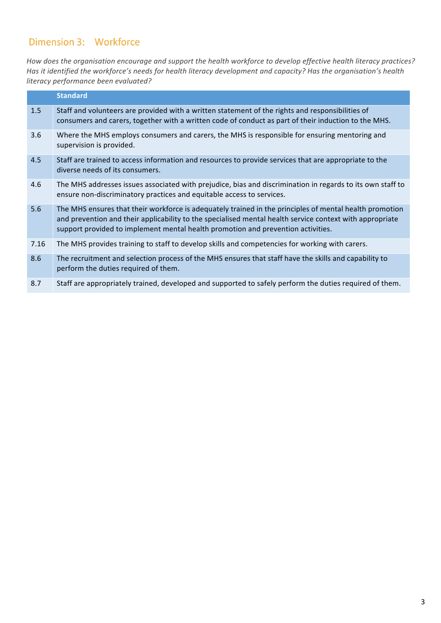#### **Dimension 3: Workforce**

How does the organisation encourage and support the health workforce to develop effective health literacy practices? Has it identified the workforce's needs for health literacy development and capacity? Has the organisation's health *literacy performance been evaluated?*

|      | <b>Standard</b>                                                                                                                                                                                                                                                                                         |
|------|---------------------------------------------------------------------------------------------------------------------------------------------------------------------------------------------------------------------------------------------------------------------------------------------------------|
| 1.5  | Staff and volunteers are provided with a written statement of the rights and responsibilities of<br>consumers and carers, together with a written code of conduct as part of their induction to the MHS.                                                                                                |
| 3.6  | Where the MHS employs consumers and carers, the MHS is responsible for ensuring mentoring and<br>supervision is provided.                                                                                                                                                                               |
| 4.5  | Staff are trained to access information and resources to provide services that are appropriate to the<br>diverse needs of its consumers.                                                                                                                                                                |
| 4.6  | The MHS addresses issues associated with prejudice, bias and discrimination in regards to its own staff to<br>ensure non-discriminatory practices and equitable access to services.                                                                                                                     |
| 5.6  | The MHS ensures that their workforce is adequately trained in the principles of mental health promotion<br>and prevention and their applicability to the specialised mental health service context with appropriate<br>support provided to implement mental health promotion and prevention activities. |
| 7.16 | The MHS provides training to staff to develop skills and competencies for working with carers.                                                                                                                                                                                                          |
| 8.6  | The recruitment and selection process of the MHS ensures that staff have the skills and capability to<br>perform the duties required of them.                                                                                                                                                           |
| 8.7  | Staff are appropriately trained, developed and supported to safely perform the duties required of them.                                                                                                                                                                                                 |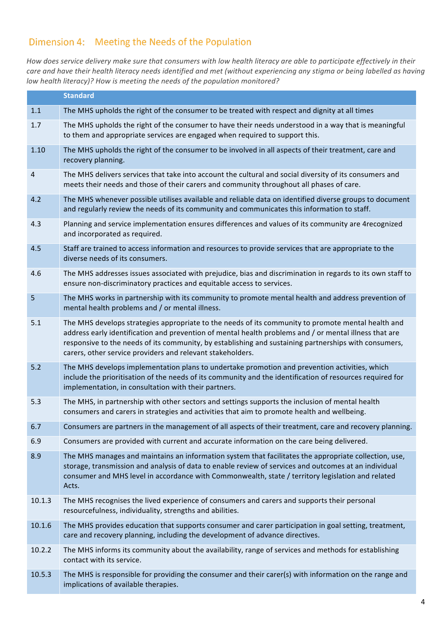## Dimension 4: Meeting the Needs of the Population

How does service delivery make sure that consumers with low health literacy are able to participate effectively in their care and have their health literacy needs identified and met (without experiencing any stigma or being labelled as having *low health literacy)?* How is meeting the needs of the population monitored?

|                | <b>Standard</b>                                                                                                                                                                                                                                                                                                                                                                     |
|----------------|-------------------------------------------------------------------------------------------------------------------------------------------------------------------------------------------------------------------------------------------------------------------------------------------------------------------------------------------------------------------------------------|
| 1.1            | The MHS upholds the right of the consumer to be treated with respect and dignity at all times                                                                                                                                                                                                                                                                                       |
| 1.7            | The MHS upholds the right of the consumer to have their needs understood in a way that is meaningful<br>to them and appropriate services are engaged when required to support this.                                                                                                                                                                                                 |
| 1.10           | The MHS upholds the right of the consumer to be involved in all aspects of their treatment, care and<br>recovery planning.                                                                                                                                                                                                                                                          |
| $\overline{4}$ | The MHS delivers services that take into account the cultural and social diversity of its consumers and<br>meets their needs and those of their carers and community throughout all phases of care.                                                                                                                                                                                 |
| 4.2            | The MHS whenever possible utilises available and reliable data on identified diverse groups to document<br>and regularly review the needs of its community and communicates this information to staff.                                                                                                                                                                              |
| 4.3            | Planning and service implementation ensures differences and values of its community are 4recognized<br>and incorporated as required.                                                                                                                                                                                                                                                |
| 4.5            | Staff are trained to access information and resources to provide services that are appropriate to the<br>diverse needs of its consumers.                                                                                                                                                                                                                                            |
| 4.6            | The MHS addresses issues associated with prejudice, bias and discrimination in regards to its own staff to<br>ensure non-discriminatory practices and equitable access to services.                                                                                                                                                                                                 |
| 5              | The MHS works in partnership with its community to promote mental health and address prevention of<br>mental health problems and / or mental illness.                                                                                                                                                                                                                               |
| 5.1            | The MHS develops strategies appropriate to the needs of its community to promote mental health and<br>address early identification and prevention of mental health problems and / or mental illness that are<br>responsive to the needs of its community, by establishing and sustaining partnerships with consumers,<br>carers, other service providers and relevant stakeholders. |
| 5.2            | The MHS develops implementation plans to undertake promotion and prevention activities, which<br>include the prioritisation of the needs of its community and the identification of resources required for<br>implementation, in consultation with their partners.                                                                                                                  |
| 5.3            | The MHS, in partnership with other sectors and settings supports the inclusion of mental health<br>consumers and carers in strategies and activities that aim to promote health and wellbeing.                                                                                                                                                                                      |
| 6.7            | Consumers are partners in the management of all aspects of their treatment, care and recovery planning.                                                                                                                                                                                                                                                                             |
| 6.9            | Consumers are provided with current and accurate information on the care being delivered.                                                                                                                                                                                                                                                                                           |
| 8.9            | The MHS manages and maintains an information system that facilitates the appropriate collection, use,<br>storage, transmission and analysis of data to enable review of services and outcomes at an individual<br>consumer and MHS level in accordance with Commonwealth, state / territory legislation and related<br>Acts.                                                        |
| 10.1.3         | The MHS recognises the lived experience of consumers and carers and supports their personal<br>resourcefulness, individuality, strengths and abilities.                                                                                                                                                                                                                             |
| 10.1.6         | The MHS provides education that supports consumer and carer participation in goal setting, treatment,<br>care and recovery planning, including the development of advance directives.                                                                                                                                                                                               |
| 10.2.2         | The MHS informs its community about the availability, range of services and methods for establishing<br>contact with its service.                                                                                                                                                                                                                                                   |
| 10.5.3         | The MHS is responsible for providing the consumer and their carer(s) with information on the range and<br>implications of available therapies.                                                                                                                                                                                                                                      |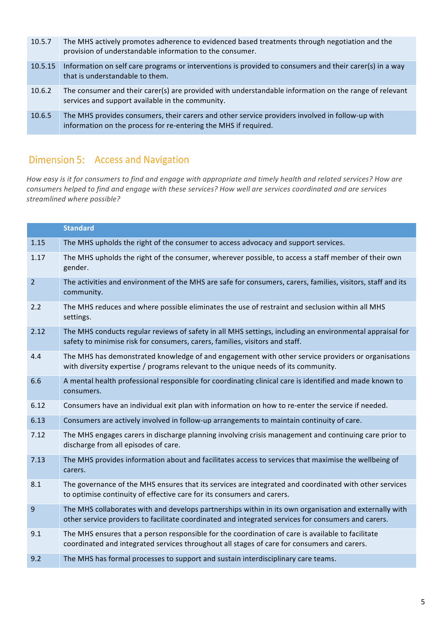| 10.5.7  | The MHS actively promotes adherence to evidenced based treatments through negotiation and the<br>provision of understandable information to the consumer.          |
|---------|--------------------------------------------------------------------------------------------------------------------------------------------------------------------|
| 10.5.15 | Information on self care programs or interventions is provided to consumers and their carer(s) in a way<br>that is understandable to them.                         |
| 10.6.2  | The consumer and their carer(s) are provided with understandable information on the range of relevant<br>services and support available in the community.          |
| 10.6.5  | The MHS provides consumers, their carers and other service providers involved in follow-up with<br>information on the process for re-entering the MHS if required. |

# Dimension 5: Access and Navigation

*How* easy is it for consumers to find and engage with appropriate and timely health and related services? How are *consumers helped to find and engage with these services? How well are services coordinated and are services streamlined where possible?*

|                | <b>Standard</b>                                                                                                                                                                                               |
|----------------|---------------------------------------------------------------------------------------------------------------------------------------------------------------------------------------------------------------|
| 1.15           | The MHS upholds the right of the consumer to access advocacy and support services.                                                                                                                            |
| 1.17           | The MHS upholds the right of the consumer, wherever possible, to access a staff member of their own<br>gender.                                                                                                |
| $\overline{2}$ | The activities and environment of the MHS are safe for consumers, carers, families, visitors, staff and its<br>community.                                                                                     |
| 2.2            | The MHS reduces and where possible eliminates the use of restraint and seclusion within all MHS<br>settings.                                                                                                  |
| 2.12           | The MHS conducts regular reviews of safety in all MHS settings, including an environmental appraisal for<br>safety to minimise risk for consumers, carers, families, visitors and staff.                      |
| 4.4            | The MHS has demonstrated knowledge of and engagement with other service providers or organisations<br>with diversity expertise / programs relevant to the unique needs of its community.                      |
| 6.6            | A mental health professional responsible for coordinating clinical care is identified and made known to<br>consumers.                                                                                         |
| 6.12           | Consumers have an individual exit plan with information on how to re-enter the service if needed.                                                                                                             |
| 6.13           | Consumers are actively involved in follow-up arrangements to maintain continuity of care.                                                                                                                     |
| 7.12           | The MHS engages carers in discharge planning involving crisis management and continuing care prior to<br>discharge from all episodes of care.                                                                 |
| 7.13           | The MHS provides information about and facilitates access to services that maximise the wellbeing of<br>carers.                                                                                               |
| 8.1            | The governance of the MHS ensures that its services are integrated and coordinated with other services<br>to optimise continuity of effective care for its consumers and carers.                              |
| 9              | The MHS collaborates with and develops partnerships within in its own organisation and externally with<br>other service providers to facilitate coordinated and integrated services for consumers and carers. |
| 9.1            | The MHS ensures that a person responsible for the coordination of care is available to facilitate<br>coordinated and integrated services throughout all stages of care for consumers and carers.              |
| 9.2            | The MHS has formal processes to support and sustain interdisciplinary care teams.                                                                                                                             |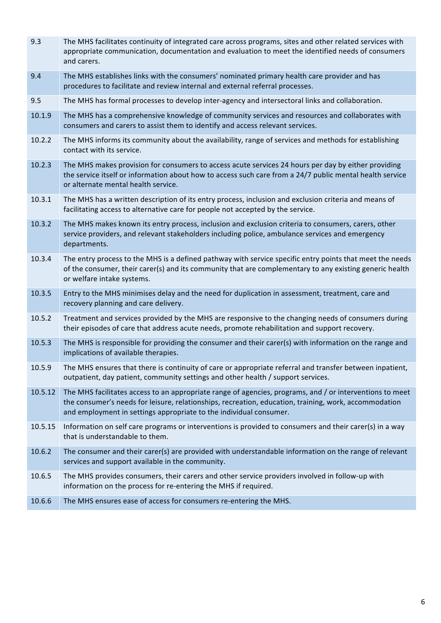| 9.3     | The MHS facilitates continuity of integrated care across programs, sites and other related services with<br>appropriate communication, documentation and evaluation to meet the identified needs of consumers<br>and carers.                                                            |
|---------|-----------------------------------------------------------------------------------------------------------------------------------------------------------------------------------------------------------------------------------------------------------------------------------------|
| 9.4     | The MHS establishes links with the consumers' nominated primary health care provider and has<br>procedures to facilitate and review internal and external referral processes.                                                                                                           |
| 9.5     | The MHS has formal processes to develop inter-agency and intersectoral links and collaboration.                                                                                                                                                                                         |
| 10.1.9  | The MHS has a comprehensive knowledge of community services and resources and collaborates with<br>consumers and carers to assist them to identify and access relevant services.                                                                                                        |
| 10.2.2  | The MHS informs its community about the availability, range of services and methods for establishing<br>contact with its service.                                                                                                                                                       |
| 10.2.3  | The MHS makes provision for consumers to access acute services 24 hours per day by either providing<br>the service itself or information about how to access such care from a 24/7 public mental health service<br>or alternate mental health service.                                  |
| 10.3.1  | The MHS has a written description of its entry process, inclusion and exclusion criteria and means of<br>facilitating access to alternative care for people not accepted by the service.                                                                                                |
| 10.3.2  | The MHS makes known its entry process, inclusion and exclusion criteria to consumers, carers, other<br>service providers, and relevant stakeholders including police, ambulance services and emergency<br>departments.                                                                  |
| 10.3.4  | The entry process to the MHS is a defined pathway with service specific entry points that meet the needs<br>of the consumer, their carer(s) and its community that are complementary to any existing generic health<br>or welfare intake systems.                                       |
| 10.3.5  | Entry to the MHS minimises delay and the need for duplication in assessment, treatment, care and<br>recovery planning and care delivery.                                                                                                                                                |
| 10.5.2  | Treatment and services provided by the MHS are responsive to the changing needs of consumers during<br>their episodes of care that address acute needs, promote rehabilitation and support recovery.                                                                                    |
| 10.5.3  | The MHS is responsible for providing the consumer and their carer(s) with information on the range and<br>implications of available therapies.                                                                                                                                          |
| 10.5.9  | The MHS ensures that there is continuity of care or appropriate referral and transfer between inpatient,<br>outpatient, day patient, community settings and other health / support services.                                                                                            |
| 10.5.12 | The MHS facilitates access to an appropriate range of agencies, programs, and / or interventions to meet<br>the consumer's needs for leisure, relationships, recreation, education, training, work, accommodation<br>and employment in settings appropriate to the individual consumer. |
| 10.5.15 | Information on self care programs or interventions is provided to consumers and their carer(s) in a way<br>that is understandable to them.                                                                                                                                              |
| 10.6.2  | The consumer and their carer(s) are provided with understandable information on the range of relevant<br>services and support available in the community.                                                                                                                               |
| 10.6.5  | The MHS provides consumers, their carers and other service providers involved in follow-up with<br>information on the process for re-entering the MHS if required.                                                                                                                      |
| 10.6.6  | The MHS ensures ease of access for consumers re-entering the MHS.                                                                                                                                                                                                                       |